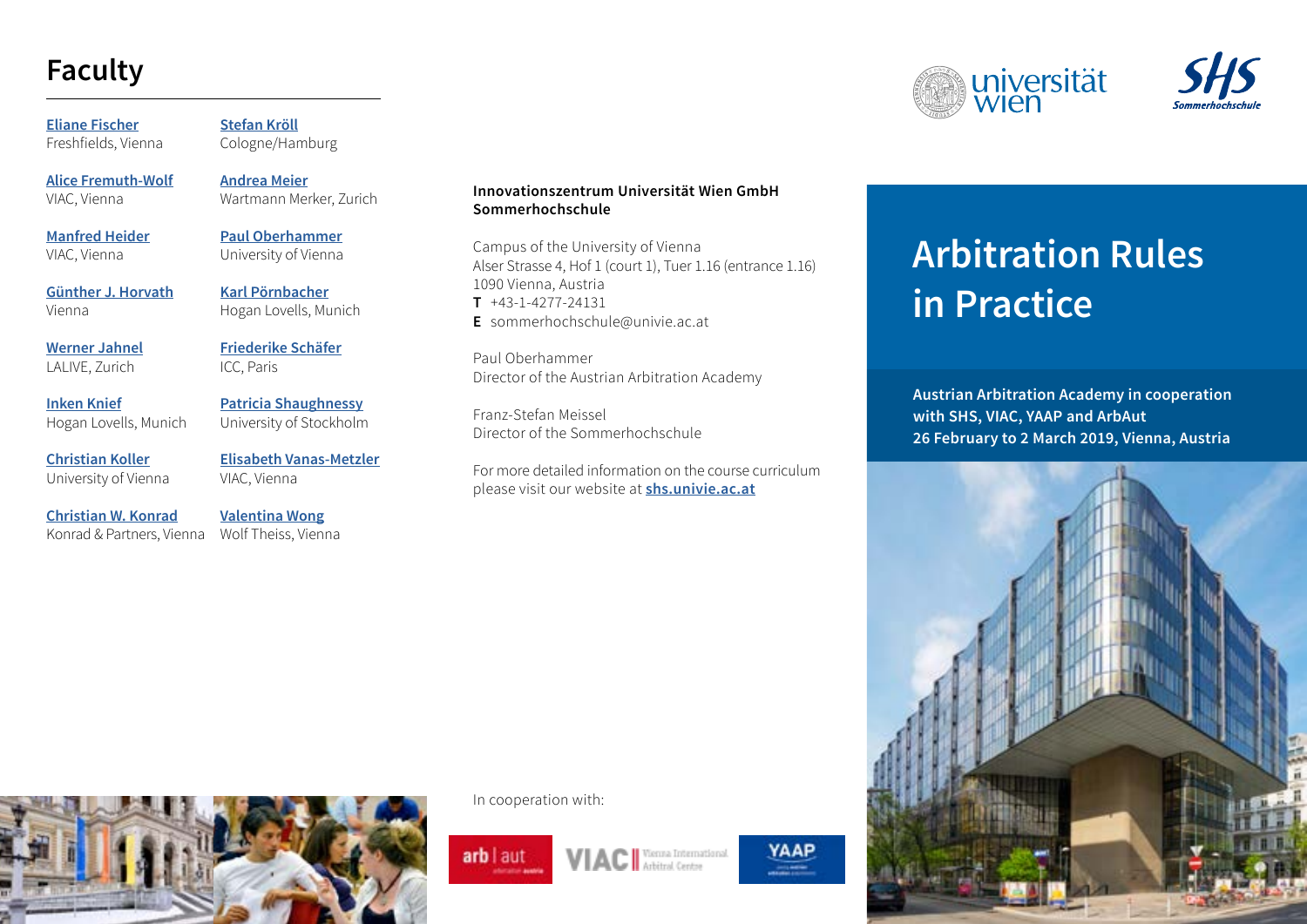### **Faculty**

**[Eliane Fischer](https://www.freshfields.com/en-gb/contacts/find-a-lawyer/f/fischer-eliane/)** Freshfields, Vienna

**[Alice Fremuth-Wolf](http://www.viac.eu/images/documents/CV_AFW_english_171207.pdf)** VIAC, Vienna

**[Manfred Heider](http://www.viac.eu/images/documents/CV_Heider-e_20180116.pdf)** VIAC, Vienna

**[Günther J. Horvath](mailto:guenther.horvath%40horvath-law.eu?subject=)** Vienna

**[Werner Jahnel](http://www.lalive.ch/en/people/index.php?lawyer=722)** LALIVE, Zurich

**[Inken Knief](https://www.hoganlovells.com/de/inken-knief)** Hogan Lovells, Munich

**[Christian Koller](https://zvr.univie.ac.at/mitarbeiterinnen/koller-christian/lebenslauf/)** University of Vienna

**[Christian W. Konrad](http://konrad-partners.com/team/partners/dr-christian-w-konrad.html)** Konrad & Partners, Vienna

**[Stefan Kröll](http://www.rechtsanwalt-kroell.de/en/vita-e/)** Cologne/Hamburg

**[Andrea Meier](https://www.wartmann-merker.ch/anwalte/andrea-meier/)** Wartmann Merker, Zurich

**[Paul Oberhammer](https://zvr.univie.ac.at/mitarbeiterinnen/oberhammer-paul/lebenslauf/)** University of Vienna

**[Karl Pörnbacher](http://www.hoganlovells.com/en/karl-poernbacher)** Hogan Lovells, Munich

**[Friederike Schäfer](mailto:friederike.schaefer%40iccwbo.org?subject=)** ICC, Paris

**[Patricia Shaughnessy](http://www.sccinstitute.com/media/29970/cv_shaughnessy_eng.pdf)** University of Stockholm

**[Elisabeth Vanas-Metzler](http://www.viac.eu/images/VANAS-METZLER_Lebenslauf_Stand_10.1.2018_eng.pdf)** VIAC, Vienna

**[Valentina Wong](https://www.wolftheiss.com/lawyer/venus-valentina-wong/)** Wolf Theiss, Vienna

#### **Innovationszentrum Universität Wien GmbH Sommerhochschule**

Campus of the University of Vienna Alser Strasse 4, Hof 1 (court 1), Tuer 1.16 (entrance 1.16) 1090 Vienna, Austria **T** +43-1-4277-24131 **E** sommerhochschule@univie.ac.at

Paul Oberhammer Director of the Austrian Arbitration Academy

Franz-Stefan Meissel Director of the Sommerhochschule

For more detailed information on the course curriculum please visit our website at **[shs.univie.ac.at](https://shs.univie.ac.at/content/site/shs/arbitrationacademy/home/index.html)**

# **Arbitration Rules in Practice**

**Austrian Arbitration Academy in cooperation with SHS, VIAC, YAAP and ArbAut 26 February to 2 March 2019, Vienna, Austria**





In cooperation with:





YAAP



universität